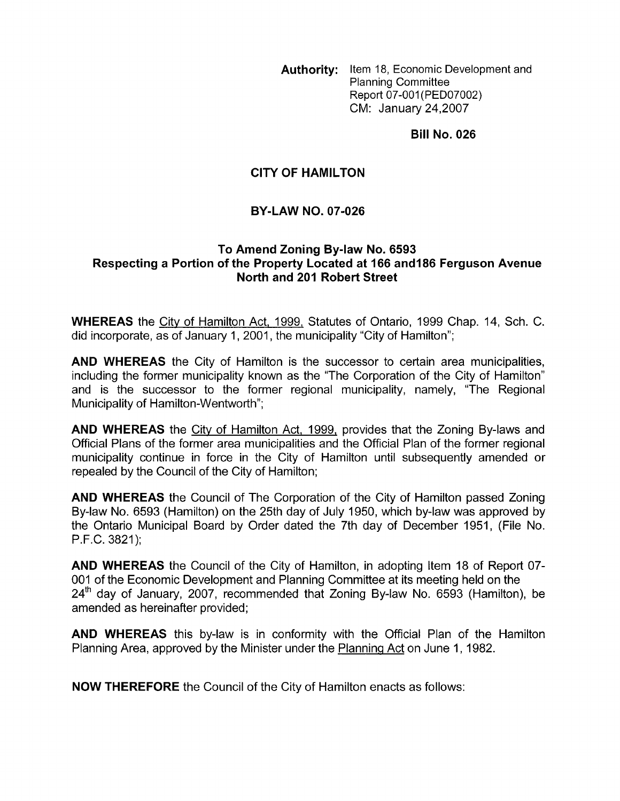**Authority:** Item 18, Economic Development and Planning Committee Report 07-001(PED07002) CM: January 24,2007

**Bill No. 026** 

#### **CITY OF HAMILTON**

#### **BY-LAW NO. 07-026**

#### **To Amend Zoning By-law No. 6593 Respecting a Portion of the Property Located at 166 and186 Ferguson Avenue North and 201 Robert Street**

**WHEREAS** the City of Hamilton Act, 1999, Statutes of Ontario, 1999 Chap. 14, Sch. C. did incorporate, as of January 1, 2001, the municipality "City of Hamilton";

**AND WHEREAS** the City of Hamilton is the successor to certain area municipalities, including the former municipality known as the "The Corporation of the City of Hamilton" and is the successor to the former regional municipality, namely, "The Regional Municipality of Hamilton-Wentworth";

**AND WHEREAS** the City of Hamilton Act, 1999, provides that the Zoning By-laws and Official Plans of the former area municipalities and the Official Plan of the former regional municipality continue in force in the City of Hamilton until subsequently amended or repealed by the Council of the City of Hamilton;

**AND WHEREAS** the Council of The Corporation of the City of Hamilton passed Zoning By-law No. 6593 (Hamilton) on the 25th day of July 1950, which by-law was approved by the Ontario Municipal Board by Order dated the 7th day of December 1951, (File No. P.F.C. 3821 );

**AND WHEREAS** the Council of the City of Hamilton, in adopting Item 18 of Report 07- 001 of the Economic Development and Planning Committee at its meeting held on the  $24<sup>th</sup>$  day of January, 2007, recommended that Zoning By-law No. 6593 (Hamilton), be amended as hereinafter provided;

**AND WHEREAS** this by-law is in conformity with the Official Plan of the Hamilton Planning Area, approved by the Minister under the Planning Act on June 1, 1982.

**NOW THEREFORE** the Council of the City of Hamilton enacts as follows: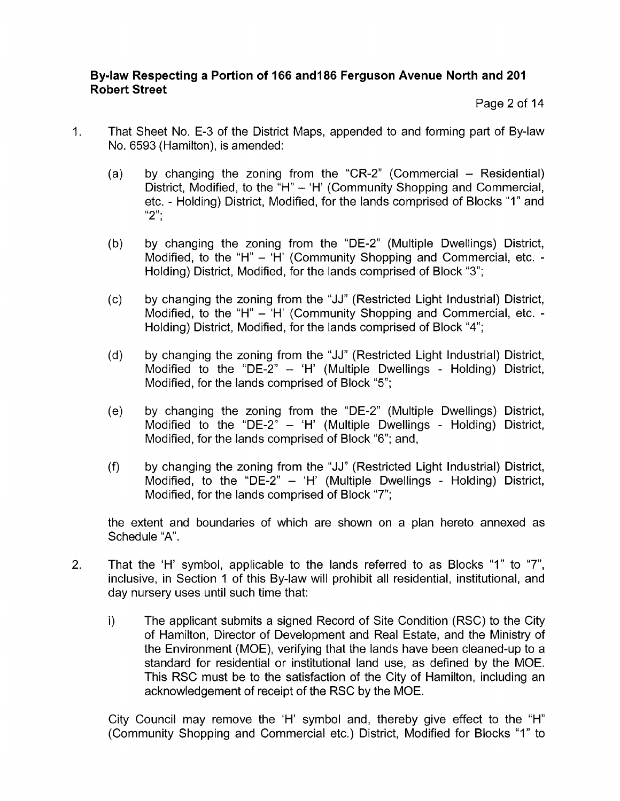Page 2 of 14

- 1. That Sheet No. E-3 of the District Maps, appended to and forming part of By-law No. 6593 (Hamilton), is amended:
	- by changing the zoning from the "CR-2" (Commercial  $-$  Residential)  $(a)$ by cnanging the zoning from the CR-2 (Commercial – Residential)<br>District, Modified, to the "H" – 'H' (Community Shopping and Commercial,<br>etc. - Holding) District, Modified, for the lands comprised of Blocks "1" and<br>" "2";
	- by changing the zoning from the "DE-2" (Multiple Dwellings) District,  $(b)$ Modified, to the "H" - 'H' (Community Shopping and Commercial, etc. -Holding) District, Modified, for the lands comprised of Block "3";
	- $(c)$ by changing the zoning from the "JJ" (Restricted Light Industrial) District, Modified, to the "H" - 'H' (Community Shopping and Commercial, etc. -Holding) District, Modified, for the lands comprised of Block "4";
	- by changing the zoning from the "JJ" (Restricted Light Industrial) District,  $(d)$ Modified to the "DE-2" - 'H' (Multiple Dwellings - Holding) District, Modified, for the lands comprised of Block "5";
	- $(e)$ by changing the zoning from the "DE-2" (Multiple Dwellings) District, Modified to the "DE-2"  $-$  'H' (Multiple Dwellings - Holding) District, Modified, for the lands comprised of Block "6"; and,
	- $(f)$ by changing the zoning from the "JJ" (Restricted Light Industrial) District, Modified, to the "DE-2" - 'H' (Multiple Dwellings - Holding) District, Modified, for the lands comprised of Block "7";

the extent and boundaries of which are shown on a plan hereto annexed as Schedule "A".

- 2. That the 'H' symbol, applicable to the lands referred to as Blocks "1" to "7", inclusive, in Section 1 of this By-law will prohibit all residential, institutional, and day nursery uses until such time that:
	- i) The applicant submits a signed Record of Site Condition (RSC) to the City of Hamilton, Director of Development and Real Estate, and the Ministry of the Environment (MOE), verifying that the lands have been cleaned-up to a standard for residential or institutional land use, as defined by the MOE. This RSC must be to the satisfaction of the City of Hamilton, including an acknowledgement of receipt of the RSC by the MOE.

City Council may remove the 'H' symbol and, thereby give effect to the "H" (Community Shopping and Commercial etc.) District, Modified for Blocks "I" to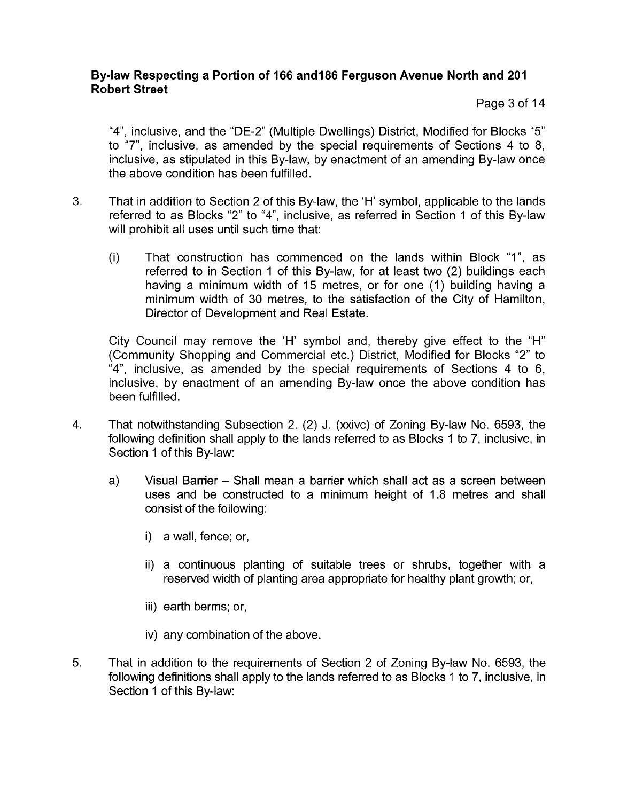Page 3 of 14

"4", inclusive, and the "DE-2" (Multiple Dwellings) District, Modified for Blocks *"5"*  to "7", inclusive, as amended by the special requirements of Sections 4 to 8, inclusive, as stipulated in this By-law, by enactment of an amending By-law once the above condition has been fulfilled.

- **3.** That in addition to Section 2 of this By-law, the 'H' symbol, applicable to the lands referred to as Blocks "2" to **"4",** inclusive, as referred in Section 1 of this By-law will prohibit all uses until such time that:
	- (i) That construction has commenced on the lands within Block "I", as referred to in Section 1 of this By-law, for at least two (2) buildings each having a minimum width of 15 metres, or for one (1) building having a minimum width of 30 metres, to the satisfaction of the City of Hamilton, Director of Development and Real Estate.

City Council may remove the 'H' symbol and, thereby give effect to the "H" (Community Shopping and Commercial etc.) District, Modified for Blocks "2" to "4", inclusive, as amended by the special requirements of Sections 4 to 6, inclusive, by enactment of an amending By-law once the above condition has been fulfilled.

- 4. That notwithstanding Subsection 2. (2) J. (xxivc) of Zoning By-law No. 6593, the following definition shall apply to the lands referred to as Blocks 1 to 7, inclusive, in Section 1 of this By-law:
	- a) Visual Barrier Shall mean a barrier which shall act as a screen between uses and be constructed to a minimum height of 1.8 metres and shall consist of the following:
		- i) a wall, fence; or,
		- ii) a continuous planting of suitable trees or shrubs, together with a reserved width of planting area appropriate for healthy plant growth; or,
		- iii) earth berms; or,
		- iv) any combination of the above.
- *5.* That in addition to the requirements of Section 2 of Zoning By-law No. 6593, the following definitions shall apply to the lands referred to as Blocks 1 to 7, inclusive, in Section 1 of this By-law: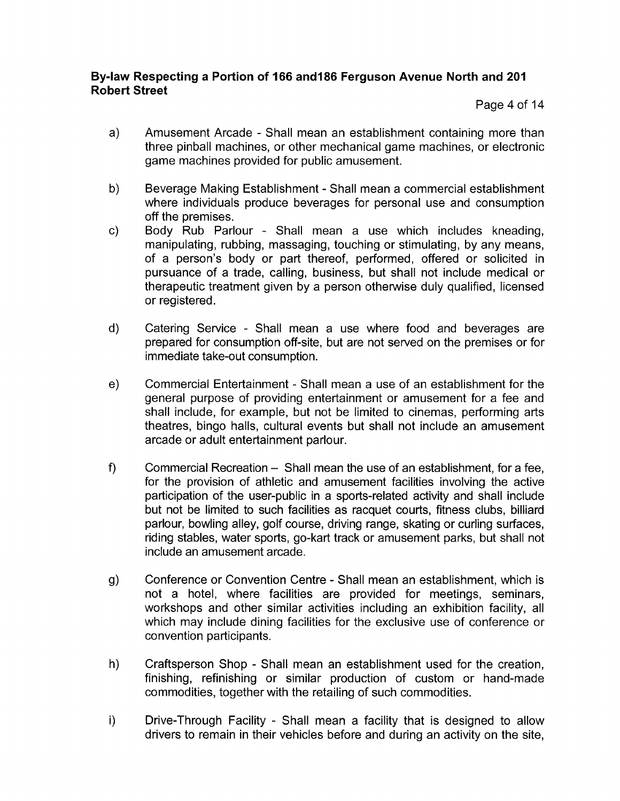Page 4 of 14

- a) Amusement Arcade Shall mean an establishment containing more than three pinball machines, or other mechanical game machines, or electronic game machines provided for public amusement.
- b) Beverage Making Establishment Shall mean a commercial establishment where individuals produce beverages for personal use and consumption off the premises.
- c) Body Rub Parlour Shall mean a use which includes kneading, manipulating, rubbing, massaging, touching or stimulating, by any means, of a person's body or part thereof, performed, offered or solicited in pursuance of a trade, calling, business, but shall not include medical or therapeutic treatment given by a person otherwise duly qualified, licensed or registered.
- d) Catering Service Shall mean a use where food and beverages are prepared for consumption off-site, but are not served on the premises or for immediate take-out consumption.
- e) Commercial Entertainment Shall mean a use of an establishment for the general purpose of providing entertainment or amusement for a fee and shall include, for example, but not be limited to cinemas, performing arts theatres, bingo halls, cultural events but shall not include an amusement arcade or adult entertainment parlour.
- f) Commercial Recreation  $-$  Shall mean the use of an establishment, for a fee, for the provision of athletic and amusement facilities involving the active participation of the user-public in a sports-related activity and shall include but not be limited to such facilities as racquet courts, fitness clubs, billiard parlour, bowling alley, golf course, driving range, skating or curling surfaces, riding stables, water sports, go-kart track or amusement parks, but shall not include an amusement arcade.
- g) Conference or Convention Centre Shall mean an establishment, which is not a hotel, where facilities are provided for meetings, seminars, workshops and other similar activities including an exhibition facility, all which may include dining facilities for the exclusive use of conference or convention participants.
- h) Craftsperson Shop Shall mean an establishment used for the creation, finishing, refinishing or similar production of custom or hand-made commodities, together with the retailing of such commodities.
- i) Drive-Through Facility Shall mean a facility that is designed to allow drivers to remain in their vehicles before and during an activity on the site,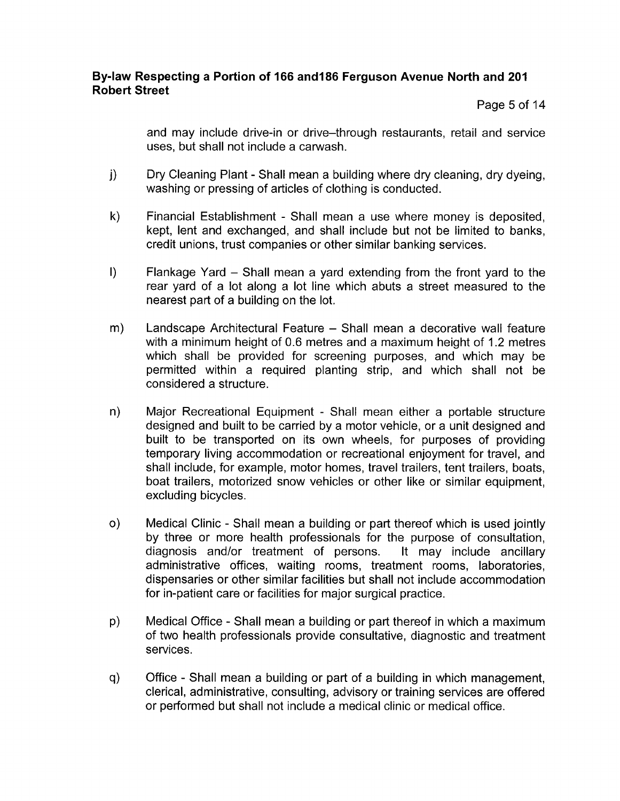Page 5 of 14

and may include drive-in or drive-through restaurants, retail and service uses, but shall not include a carwash.

- $\vert$ Dry Cleaning Plant - Shall mean a building where dry cleaning, dry dyeing, washing or pressing of articles of clothing is conducted.
- $k)$ Financial Establishment - Shall mean a use where money is deposited, kept, lent and exchanged, and shall include but not be limited to banks, credit unions, trust companies or other similar banking services.
- $\vert$ Flankage Yard - Shall mean a yard extending from the front yard to the rear yard of a lot along a lot line which abuts a street measured to the nearest part of a building on the lot.
- $m)$ Landscape Architectural Feature - Shall mean a decorative wall feature with a minimum height of 0.6 metres and a maximum height of 1.2 metres which shall be provided for screening purposes, and which may be permitted within a required planting strip, and which shall not be considered a structure.
- Major Recreational Equipment Shall mean either a portable structure  $n)$ designed and built to be carried by a motor vehicle, or a unit designed and built to be transported on its own wheels, for purposes of providing temporary living accommodation or recreational enjoyment for travel, and shall include, for example, motor homes, travel trailers, tent trailers, boats, boat trailers, motorized snow vehicles or other like or similar equipment, excluding bicycles.
- $\circ$ ) Medical Clinic - Shall mean a building or part thereof which is used jointly by three or more health professionals for the purpose of consultation, diagnosis and/or treatment of persons. It may include ancillary administrative offices, waiting rooms, treatment rooms, laboratories, dispensaries or other similar facilities but shall not include accommodation for in-patient care or facilities for major surgical practice.
- $p)$ Medical Office - Shall mean a building or part thereof in which a maximum of two health professionals provide consultative, diagnostic and treatment services.
- $q)$ Office - Shall mean a building or part of a building in which management, clerical, administrative, consulting, advisory or training services are offered or performed but shall not include a medical clinic or medical office.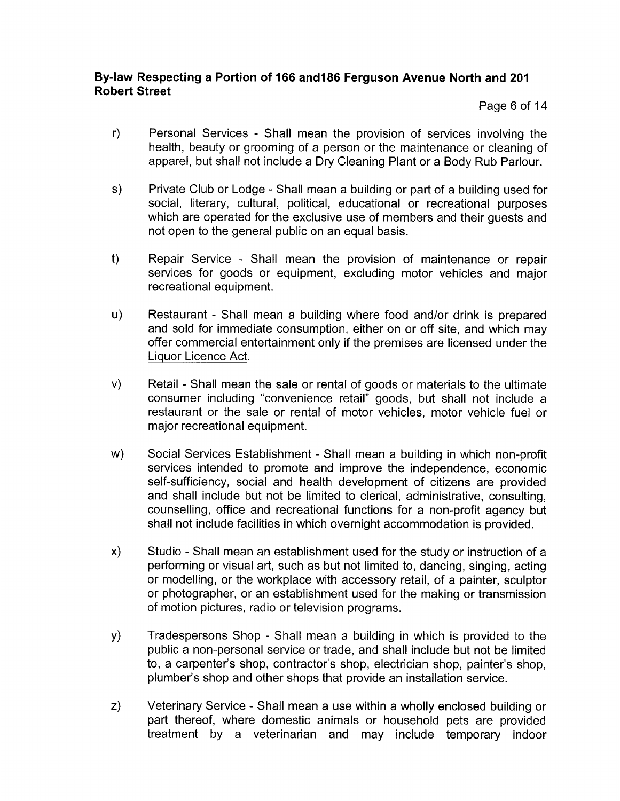Page 6 of 14

- $r)$ Personal Services - Shall mean the provision of services involving the health, beauty or grooming of a person or the maintenance or cleaning of apparel, but shall not include a Dry Cleaning Plant or a Body Rub Parlour.
- $s)$ Private Club or Lodge - Shall mean a building or part of a building used for social, literary, cultural, political, educational or recreational purposes which are operated for the exclusive use of members and their guests and not open to the general public on an equal basis.
- $<sub>1</sub>$ </sub> Repair Service - Shall mean the provision of maintenance or repair services for goods or equipment, excluding motor vehicles and major recreational equipment.
- $\mathsf{u}$ Restaurant - Shall mean a building where food and/or drink is prepared and sold for immediate consumption, either on or off site, and which may offer commercial entertainment only if the premises are licensed under the Liquor Licence Act.
- $V)$ Retail - Shall mean the sale or rental of goods or materials to the ultimate consumer including "convenience retail" goods, but shall not include a restaurant or the sale or rental of motor vehicles, motor vehicle fuel or major recreational equipment.
- w) Social Services Establishment - Shall mean a building in which non-profit services intended to promote and improve the independence, economic self-sufficiency, social and health development of citizens are provided and shall include but not be limited to clerical, administrative, consulting, counselling, office and recreational functions for a non-profit agency but shall not include facilities in which overnight accommodation is provided.
- $\mathsf{x})$ Studio - Shall mean an establishment used for the study or instruction of a performing or visual art, such as but not limited to, dancing, singing, acting or modelling, or the workplace with accessory retail, of a painter, sculptor or photographer, or an establishment used for the making or transmission of motion pictures, radio or television programs.
- y) Tradespersons Shop - Shall mean a building in which is provided to the public a non-personal service or trade, and shall include but not be limited to, a carpenter's shop, contractor's shop, electrician shop, painter's shop, plumber's shop and other shops that provide an installation service.
- $Z)$ Veterinary Service - Shall mean a use within a wholly enclosed building or part thereof, where domestic animals or household pets are provided treatment by a veterinarian and may include temporary indoor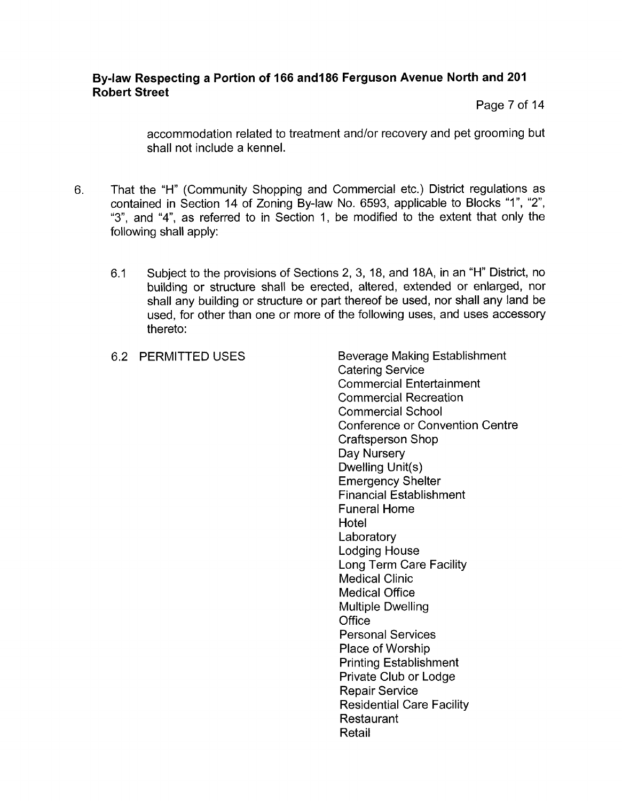Page 7 of 14

accommodation related to treatment and/or recovery and pet grooming but shall not include a kennel.

- 6. That the "H" (Community Shopping and Commercial etc.) District regulations as contained in Section 14 of Zoning By-law No. 6593, applicable to Blocks "1", "2", "3", and "4", as referred to in Section 1, be modified to the extent that only the following shall apply:
	- 6.1 Subject to the provisions of Sections 2, 3, 18, and 18A, in an "H" District, no building or structure shall be erected, altered, extended or enlarged, nor shall any building or structure or part thereof be used, nor shall any land be used, for other than one or more of the following uses, and uses accessory thereto:
	-

6.2 PERMITTED USES Beverage Making Establishment Catering Service Commercial Entertainment Commercial Recreation Commercial School Conference or Convention Centre Craftsperson Shop Day Nursery Dwelling Unit(s) Emergency Shelter Financial Establishment Funeral Home **Hotel Laboratory** Lodging House Long Term Care Facility Medical Clinic Medical Office Multiple Dwelling Office Personal Services Place of Worship Printing Establishment Private Club or Lodge **Repair Service** Residential Care Facility Restaurant Retail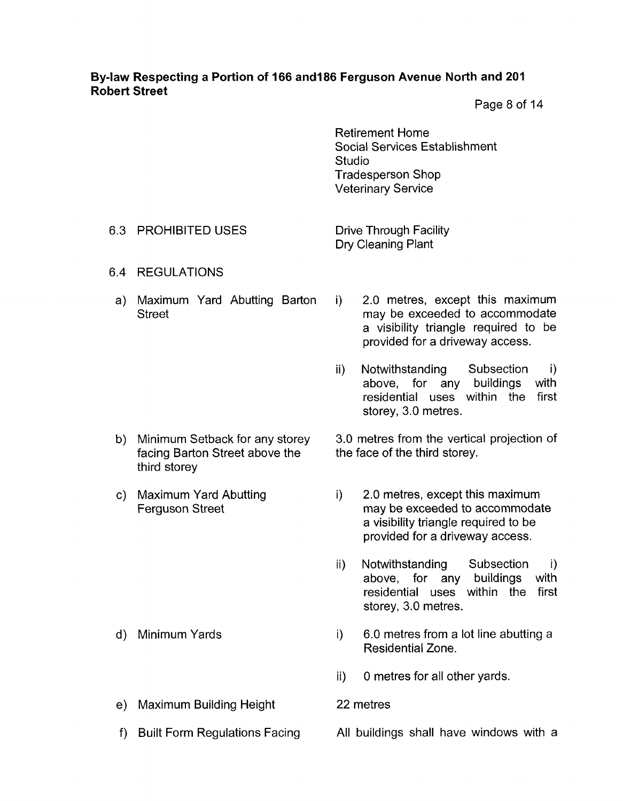Page 8 of 14

Retirement Home Social Services Establishment Studio Tradesperson Shop Veterinary Service

#### 6.3 PROHIBITED USES

Drive Through Facility Dry Cleaning Plant

- 6.4 REGULATIONS
	- a) Maximum Yard Abutting Barton **Street**

i) 2.0 metres, except this maximum may be exceeded to accommodate a visibility triangle required to be provided for a driveway access.

- ii) Notwithstanding Subsection i) above, for any buildings with residential uses within the first storey, 3.0 metres.
- 3.0 metres from the vertical projection of the face of the third storey.
	- i) 2.0 metres, except this maximum may be exceeded to accommodate a visibility triangle required to be provided for a driveway access.
		- ii) Notwithstanding Subsection i) above, for any buildings with residential uses within the first storey, 3.0 metres.
		- i) 6.0 metres from a lot line abutting a Residential Zone.
		- ii) 0 metres for all other yards.
		- 22 metres
		- All buildings shall have windows with a
- b) Minimum Setback for any storey facing Barton Street above the third storey
- c) Maximum Yard Abutting Ferguson Street

- d) Minimum Yards
- e) Maximum Building Height
- f) Built Form Regulations Facing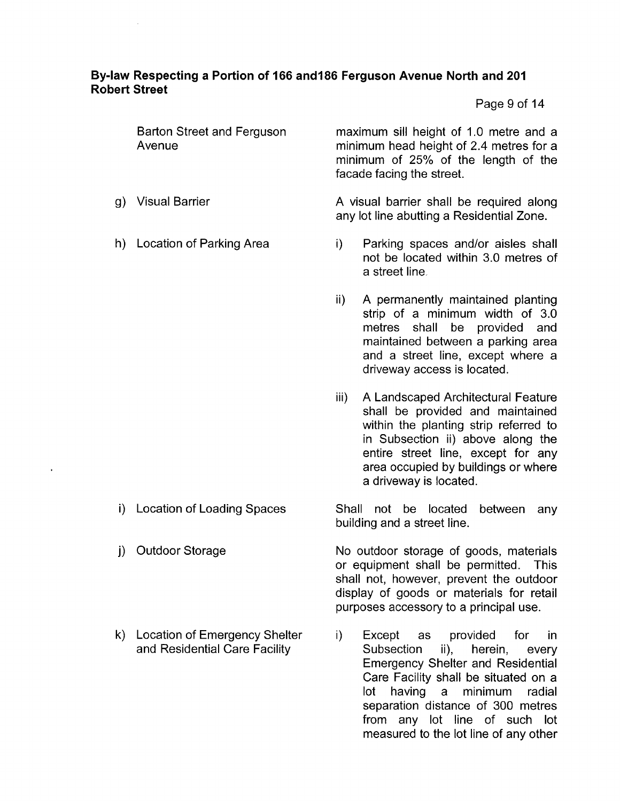Page 9 of 14

|     | <b>Barton Street and Ferguson</b><br>Avenue |      | maximum sill height of 1.0 metre and a<br>minimum head height of 2.4 metres for a<br>minimum of 25% of the length of the<br>facade facing the street.                                                                                                       |
|-----|---------------------------------------------|------|-------------------------------------------------------------------------------------------------------------------------------------------------------------------------------------------------------------------------------------------------------------|
| g). | <b>Visual Barrier</b>                       |      | A visual barrier shall be required along<br>any lot line abutting a Residential Zone.                                                                                                                                                                       |
|     | h) Location of Parking Area                 | i).  | Parking spaces and/or aisles shall<br>not be located within 3.0 metres of<br>a street line.                                                                                                                                                                 |
|     |                                             | ii)  | A permanently maintained planting<br>strip of a minimum width of 3.0<br>metres shall be provided and<br>maintained between a parking area<br>and a street line, except where a<br>driveway access is located.                                               |
|     |                                             | iii) | A Landscaped Architectural Feature<br>shall be provided and maintained<br>within the planting strip referred to<br>in Subsection ii) above along the<br>entire street line, except for any<br>area occupied by buildings or where<br>a driveway is located. |

i) Location of Loading Spaces Shall not be located between any building and a street line.

j) Outdoor Storage No outdoor storage of goods, materials or equipment shall be permitted. This shall not, however, prevent the outdoor display of goods or materials for retail purposes accessory to a principal use.

k) Location of Emergency Shelter i) Except as provided for in and Residential Care Facility **Subsection** ii), herein, every Emergency Shelter and Residential Care Facility shall be situated on a lot having a minimum radial separation distance of 300 metres from any lot line of such lot measured to the lot line of any other

- 
- 
-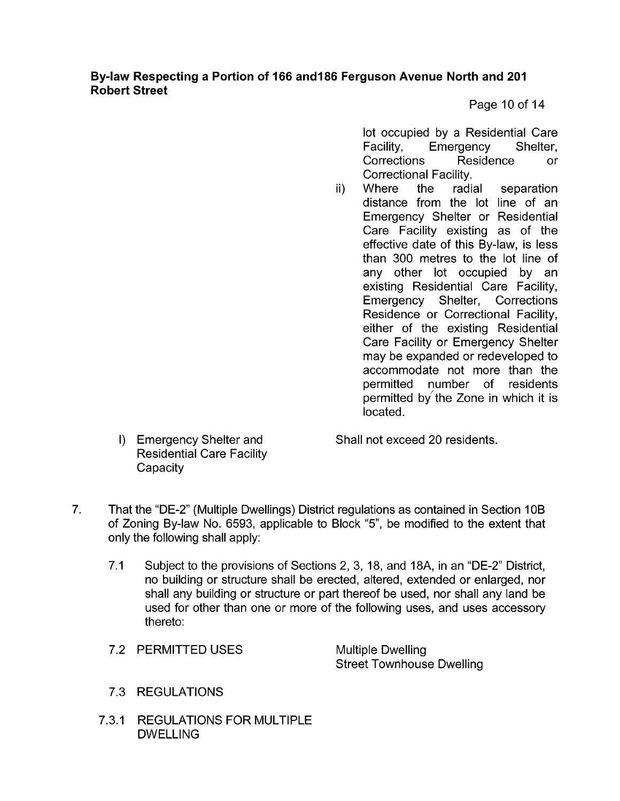Page 10 of 14

lot occupied by a Residential Care Facility, Emergency Shelter, Corrections Residence or Correctional Facility.

ii) Where the radial separation distance from the lot line of an Emergency Shelter or Residential Care Facility existing as of the effective date of this By-law, is less than 300 metres to the lot line of any other lot occupied by an existing Residential Care Facility, Emergency Shelter, Corrections Residence or Correctional Facility, either of the existing Residential Care Facility or Emergency Shelter may be expanded or redeveloped to accommodate not more than the permitted number of residents permitted by the Zone in which it is located.

I) Emergency Shelter and Shall not exceed 20 residents.

- 7. That the "DE-2" (Multiple Dwellings) District regulations as contained in Section 1 OB of Zoning By-law No. 6593, applicable to Block "5", be modified to the extent that only the following shall apply:
	- 7.1 Subject to the provisions of Sections 2, 3, 18, and 18A, in an "DE-2" District, no building or structure shall be erected, altered, extended or enlarged, nor shall any building or structure or part thereof be used, nor shall any land be used for other than one or more of the following uses, and uses accessory thereto:
	- 7.2 PERMITTED USES

Multiple Dwelling Street Townhouse Dwelling

- 7.3 REGULATIONS
- 7.3.1 REGULATIONS FOR MULTIPLE DWELLING

Residential Care Facility

**Capacity**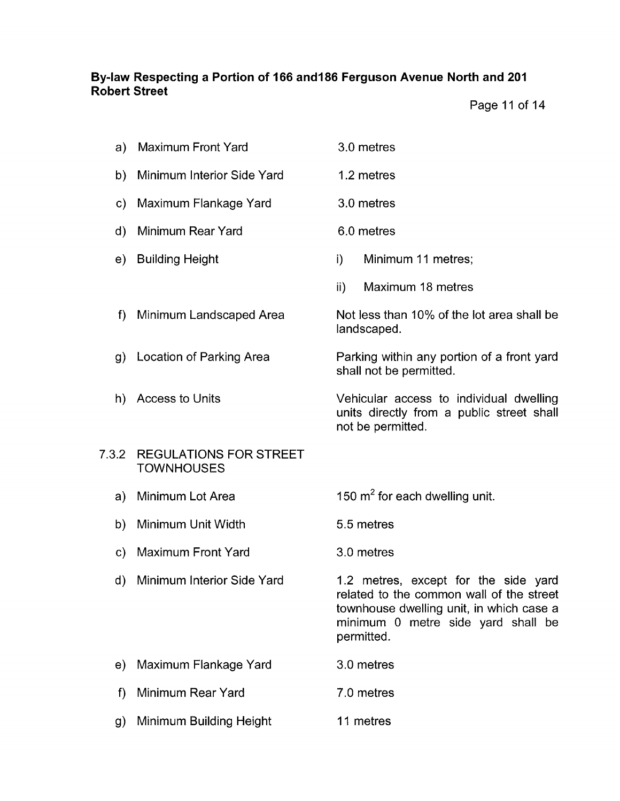6.0 metres

landscaped.

i) Minimum 11 metres;

ii) Maximum 18 metres

shall not be permitted.

not be permitted.

Not less than 10% of the lot area shall be

Parking within any portion *of* a front yard

Vehicular access to individual dwelling units directly from a public street shall

Page 11 of 14

| a) Maximum Front Yard | 3.0 metres |
|-----------------------|------------|
|-----------------------|------------|

- b) Minimum Interior Side Yard 1.2 metres
- Maximum Flankage Yard 3.0 metres
- Minimum Rear Yard
- e) Building Height
- Minimum Landscaped Area  $f$
- Location of Parking Area
- h) Access to Units

#### 7.3.2 REGULATIONS FOR STREET **TOWNHOUSES**

- a) Minimum Lot Area 150  $m^2$  for each dwelling unit.
- b) Minimum Unit Width 5.5 metres
- Maximum Front Yard 3.0 metres
- Minimum Interior Side Yard

1.2 metres, except for the side yard related to the common wall of the street townhouse dwelling unit, in which case a minimum 0 metre side yard shall be permitted.

- Maximum Flankage Yard 3.0 metres
- Minimum Rear Yard 7.0 metres
- Minimum Building Height 11 metres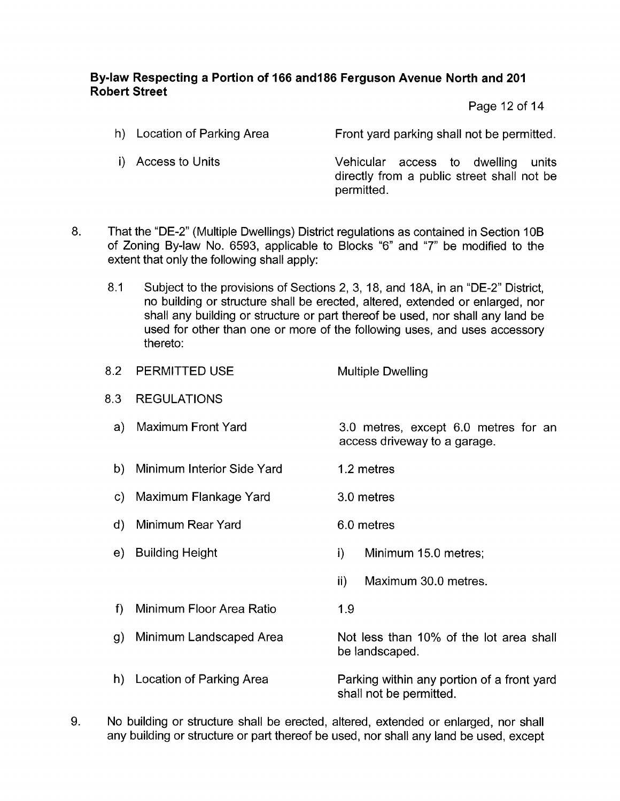Page 12 of 14

- h) Location of Parking Area Front yard parking shall not be permitted.
- 

i) Access to Units Vehicular access to dwelling units directly from a public street shall not be permitted.

- 8. That the "DE-2" (Multiple Dwellings) District regulations as contained in Section 10B of Zoning By-law No. 6593, applicable to Blocks "6" and "7" be modified to the extent that only the following shall apply:
	- $8.1$ Subject to the provisions of Sections 2, 3, 18, and 18A, in an "DE-2" District, no building or structure shall be erected, altered, extended or enlarged, nor shall any building or structure or part thereof be used, nor shall any land be used for other than one or more of the following uses, and uses accessory thereto:

| 8.2          | <b>PERMITTED USE</b>       | <b>Multiple Dwelling</b>                                             |  |
|--------------|----------------------------|----------------------------------------------------------------------|--|
| 8.3          | <b>REGULATIONS</b>         |                                                                      |  |
| a)           | Maximum Front Yard         | 3.0 metres, except 6.0 metres for an<br>access driveway to a garage. |  |
| b)           | Minimum Interior Side Yard | 1.2 metres                                                           |  |
| C)           | Maximum Flankage Yard      | 3.0 metres                                                           |  |
| $\mathbf{d}$ | Minimum Rear Yard          | 6.0 metres                                                           |  |
| e)           | <b>Building Height</b>     | i)<br>Minimum 15.0 metres;                                           |  |
|              |                            | Maximum 30.0 metres.<br>$\mathsf{ii}$                                |  |
| f            | Minimum Floor Area Ratio   | 1.9                                                                  |  |
| g)           | Minimum Landscaped Area    | Not less than 10% of the lot area shall<br>be landscaped.            |  |

- Parking within any portion of a front yard shall not be permitted. h) Location of Parking Area
- 9. No building or structure shall be erected, altered, extended or enlarged, nor shall any building or structure or part thereof be used, nor shall any land be used, except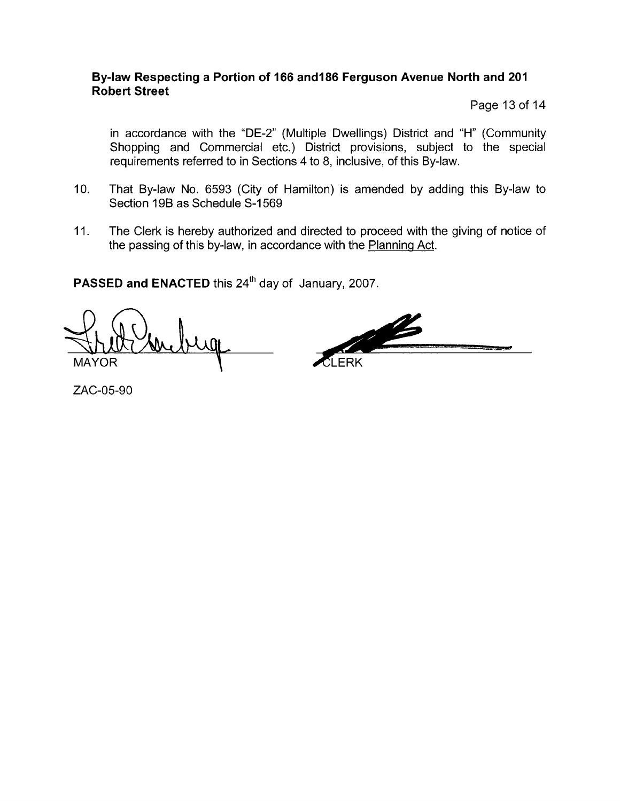Page 13 of 14

in accordance with the "DE-2" (Multiple Dwellings) District and "H" (Community Shopping and Commercial etc.) District provisions, subject to the special requirements referred to in Sections 4 to 8, inclusive, of this By-law.

- 10. That By-law No. 6593 (City of Hamilton) is amended by adding this By-law to Section 19B as Schedule S-1569
- 11. The Clerk is hereby authorized and directed to proceed with the giving of notice of the passing of this by-law, in accordance with the Planning Act.

PASSED and ENACTED this 24<sup>th</sup> day of January, 2007.

**LERK** \ MAYOR

ZAC-05-90